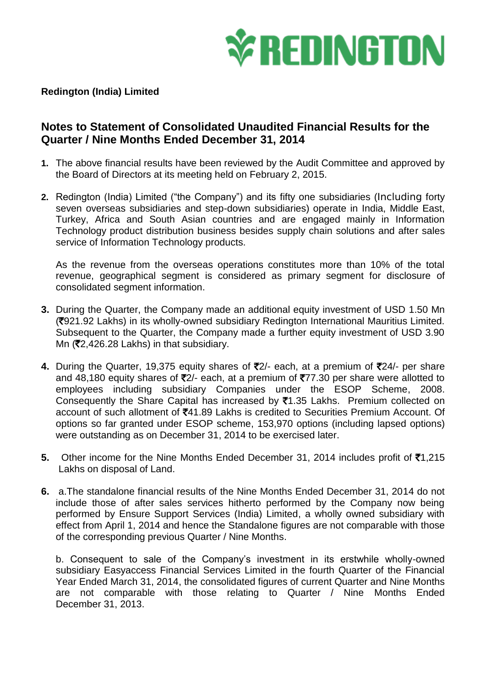

**Redington (India) Limited**

## **Notes to Statement of Consolidated Unaudited Financial Results for the Quarter / Nine Months Ended December 31, 2014**

- **1.** The above financial results have been reviewed by the Audit Committee and approved by the Board of Directors at its meeting held on February 2, 2015.
- **2.** Redington (India) Limited ("the Company") and its fifty one subsidiaries (Including forty seven overseas subsidiaries and step-down subsidiaries) operate in India, Middle East, Turkey, Africa and South Asian countries and are engaged mainly in Information Technology product distribution business besides supply chain solutions and after sales service of Information Technology products.

As the revenue from the overseas operations constitutes more than 10% of the total revenue, geographical segment is considered as primary segment for disclosure of consolidated segment information.

- **3.** During the Quarter, the Company made an additional equity investment of USD 1.50 Mn (`921.92 Lakhs) in its wholly-owned subsidiary Redington International Mauritius Limited. Subsequent to the Quarter, the Company made a further equity investment of USD 3.90 Mn ( $\overline{5}2,426.28$  Lakhs) in that subsidiary.
- **4.** During the Quarter, 19,375 equity shares of ₹2/- each, at a premium of ₹24/- per share and 48,180 equity shares of  $\overline{5}2/-$  each, at a premium of  $\overline{5}77.30$  per share were allotted to employees including subsidiary Companies under the ESOP Scheme, 2008. Consequently the Share Capital has increased by  $\bar{z}1.35$  Lakhs. Premium collected on account of such allotment of ₹41.89 Lakhs is credited to Securities Premium Account. Of options so far granted under ESOP scheme, 153,970 options (including lapsed options) were outstanding as on December 31, 2014 to be exercised later.
- **5.** Other income for the Nine Months Ended December 31, 2014 includes profit of ₹1,215 Lakhs on disposal of Land.
- **6.** a.The standalone financial results of the Nine Months Ended December 31, 2014 do not include those of after sales services hitherto performed by the Company now being performed by Ensure Support Services (India) Limited, a wholly owned subsidiary with effect from April 1, 2014 and hence the Standalone figures are not comparable with those of the corresponding previous Quarter / Nine Months.

b. Consequent to sale of the Company's investment in its erstwhile wholly-owned subsidiary Easyaccess Financial Services Limited in the fourth Quarter of the Financial Year Ended March 31, 2014, the consolidated figures of current Quarter and Nine Months are not comparable with those relating to Quarter / Nine Months Ended December 31, 2013.